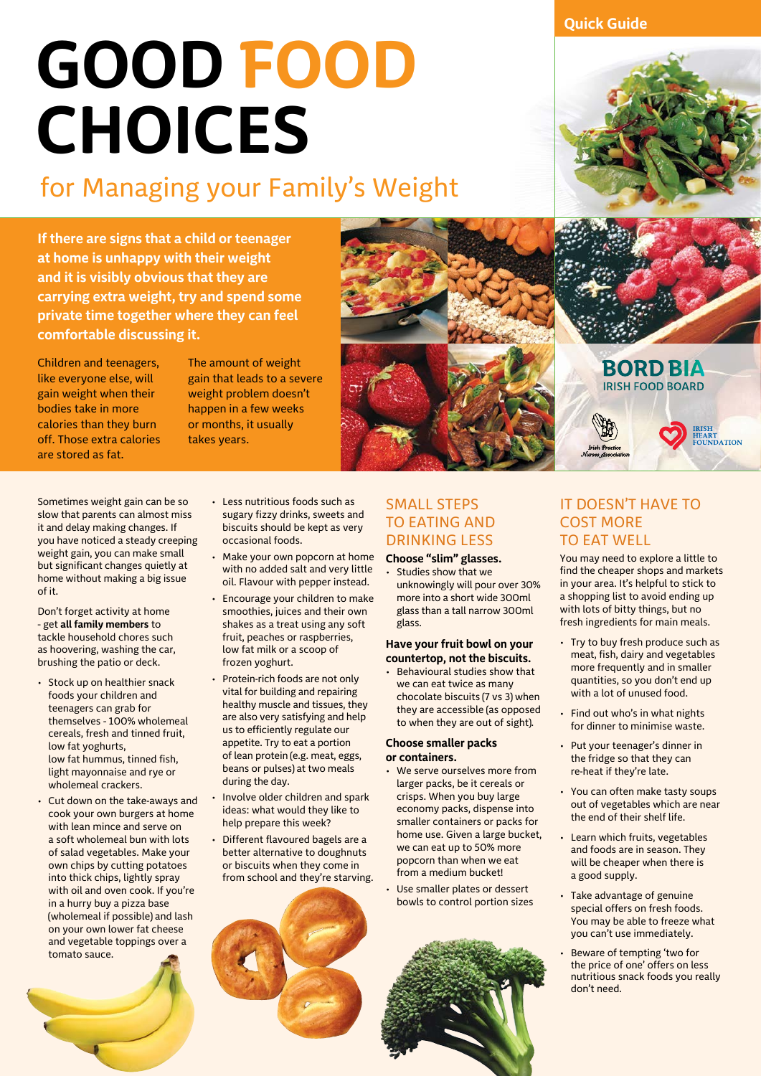**Quick Guide**

# **GOOD FOOD CHOICES**

# for Managing your Family's Weight

**If there are signs that a child or teenager at home is unhappy with their weight and it is visibly obvious that they are carrying extra weight, try and spend some private time together where they can feel comfortable discussing it.** 

Children and teenagers, like everyone else, will gain weight when their bodies take in more calories than they burn off. Those extra calories are stored as fat.

The amount of weight gain that leads to a severe weight problem doesn't happen in a few weeks or months, it usually takes years.

Sometimes weight gain can be so slow that parents can almost miss it and delay making changes. If you have noticed a steady creeping weight gain, you can make small but significant changes quietly at home without making a big issue of it.

Don't forget activity at home – get **all family members** to tackle household chores such as hoovering, washing the car, brushing the patio or deck.

- Stock up on healthier snack foods your children and teenagers can grab for themselves – 100% wholemeal cereals, fresh and tinned fruit, low fat yoghurts, low fat hummus, tinned fish, light mayonnaise and rye or wholemeal crackers.
- Cut down on the take-aways and cook your own burgers at home with lean mince and serve on a soft wholemeal bun with lots of salad vegetables. Make your own chips by cutting potatoes into thick chips, lightly spray with oil and oven cook. If you're in a hurry buy a pizza base (wholemeal if possible) and lash on your own lower fat cheese and vegetable toppings over a tomato sauce.
- Less nutritious foods such as sugary fizzy drinks, sweets and biscuits should be kept as very occasional foods.
- Make your own popcorn at home with no added salt and very little oil. Flavour with pepper instead.
- Encourage your children to make smoothies, juices and their own shakes as a treat using any soft fruit, peaches or raspberries, low fat milk or a scoop of frozen yoghurt.
- Protein-rich foods are not only vital for building and repairing healthy muscle and tissues, they are also very satisfying and help us to efficiently regulate our appetite. Try to eat a portion of lean protein (e.g. meat, eggs, beans or pulses) at two meals during the day.
- Involve older children and spark ideas: what would they like to help prepare this week?
- Different flavoured bagels are a better alternative to doughnuts or biscuits when they come in from school and they're starving.





### SMALL STEPS TO EATING AND DRINKING LESS

#### **Choose "slim" glasses.**

Studies show that we unknowingly will pour over 30% more into a short wide 300ml glass than a tall narrow 300ml glass.

#### **Have your fruit bowl on your countertop, not the biscuits.**

Behavioural studies show that we can eat twice as many chocolate biscuits (7 vs 3) when they are accessible (as opposed to when they are out of sight).

#### **Choose smaller packs or containers.**

- We serve ourselves more from larger packs, be it cereals or crisps. When you buy large economy packs, dispense into smaller containers or packs for home use. Given a large bucket, we can eat up to 50% more popcorn than when we eat from a medium bucket!
- Use smaller plates or dessert bowls to control portion sizes





### IT DOESN'T HAVE TO COST MORE TO EAT WELL

You may need to explore a little to find the cheaper shops and markets in your area. It's helpful to stick to a shopping list to avoid ending up with lots of bitty things, but no fresh ingredients for main meals.

- Try to buy fresh produce such as meat, fish, dairy and vegetables more frequently and in smaller quantities, so you don't end up with a lot of unused food.
- Find out who's in what nights for dinner to minimise waste.
- Put your teenager's dinner in the fridge so that they can re-heat if they're late.
- You can often make tasty soups out of vegetables which are near the end of their shelf life.
- Learn which fruits, vegetables and foods are in season. They will be cheaper when there is a good supply.
- Take advantage of genuine special offers on fresh foods. You may be able to freeze what you can't use immediately.
- Beware of tempting 'two for the price of one' offers on less nutritious snack foods you really don't need.